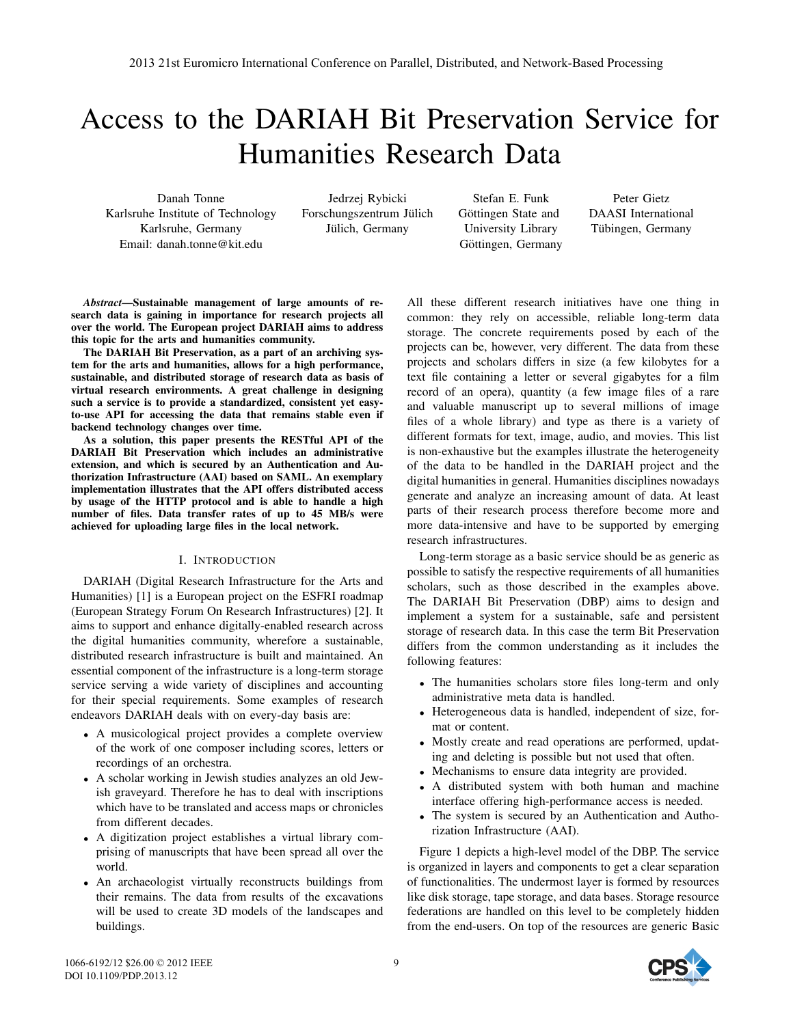# Access to the DARIAH Bit Preservation Service for Humanities Research Data

Danah Tonne Karlsruhe Institute of Technology Karlsruhe, Germany Email: danah.tonne@kit.edu

Jedrzej Rybicki Forschungszentrum Jülich Jülich, Germany

Stefan E. Funk Göttingen State and University Library Göttingen, Germany

Peter Gietz DAASI International Tübingen, Germany

*Abstract*—Sustainable management of large amounts of research data is gaining in importance for research projects all over the world. The European project DARIAH aims to address this topic for the arts and humanities community.

The DARIAH Bit Preservation, as a part of an archiving system for the arts and humanities, allows for a high performance, sustainable, and distributed storage of research data as basis of virtual research environments. A great challenge in designing such a service is to provide a standardized, consistent yet easyto-use API for accessing the data that remains stable even if backend technology changes over time.

As a solution, this paper presents the RESTful API of the DARIAH Bit Preservation which includes an administrative extension, and which is secured by an Authentication and Authorization Infrastructure (AAI) based on SAML. An exemplary implementation illustrates that the API offers distributed access by usage of the HTTP protocol and is able to handle a high number of files. Data transfer rates of up to 45 MB/s were achieved for uploading large files in the local network.

## I. INTRODUCTION

DARIAH (Digital Research Infrastructure for the Arts and Humanities) [1] is a European project on the ESFRI roadmap (European Strategy Forum On Research Infrastructures) [2]. It aims to support and enhance digitally-enabled research across the digital humanities community, wherefore a sustainable, distributed research infrastructure is built and maintained. An essential component of the infrastructure is a long-term storage service serving a wide variety of disciplines and accounting for their special requirements. Some examples of research endeavors DARIAH deals with on every-day basis are:

- A musicological project provides a complete overview of the work of one composer including scores, letters or recordings of an orchestra.
- A scholar working in Jewish studies analyzes an old Jewish graveyard. Therefore he has to deal with inscriptions which have to be translated and access maps or chronicles from different decades.
- A digitization project establishes a virtual library comprising of manuscripts that have been spread all over the world.
- An archaeologist virtually reconstructs buildings from their remains. The data from results of the excavations will be used to create 3D models of the landscapes and buildings.

All these different research initiatives have one thing in common: they rely on accessible, reliable long-term data storage. The concrete requirements posed by each of the projects can be, however, very different. The data from these projects and scholars differs in size (a few kilobytes for a text file containing a letter or several gigabytes for a film record of an opera), quantity (a few image files of a rare and valuable manuscript up to several millions of image files of a whole library) and type as there is a variety of different formats for text, image, audio, and movies. This list is non-exhaustive but the examples illustrate the heterogeneity of the data to be handled in the DARIAH project and the digital humanities in general. Humanities disciplines nowadays generate and analyze an increasing amount of data. At least parts of their research process therefore become more and more data-intensive and have to be supported by emerging research infrastructures.

Long-term storage as a basic service should be as generic as possible to satisfy the respective requirements of all humanities scholars, such as those described in the examples above. The DARIAH Bit Preservation (DBP) aims to design and implement a system for a sustainable, safe and persistent storage of research data. In this case the term Bit Preservation differs from the common understanding as it includes the following features:

- The humanities scholars store files long-term and only administrative meta data is handled.
- Heterogeneous data is handled, independent of size, format or content.
- Mostly create and read operations are performed, updating and deleting is possible but not used that often.
- Mechanisms to ensure data integrity are provided.
- A distributed system with both human and machine interface offering high-performance access is needed.
- The system is secured by an Authentication and Authorization Infrastructure (AAI).

Figure 1 depicts a high-level model of the DBP. The service is organized in layers and components to get a clear separation of functionalities. The undermost layer is formed by resources like disk storage, tape storage, and data bases. Storage resource federations are handled on this level to be completely hidden from the end-users. On top of the resources are generic Basic



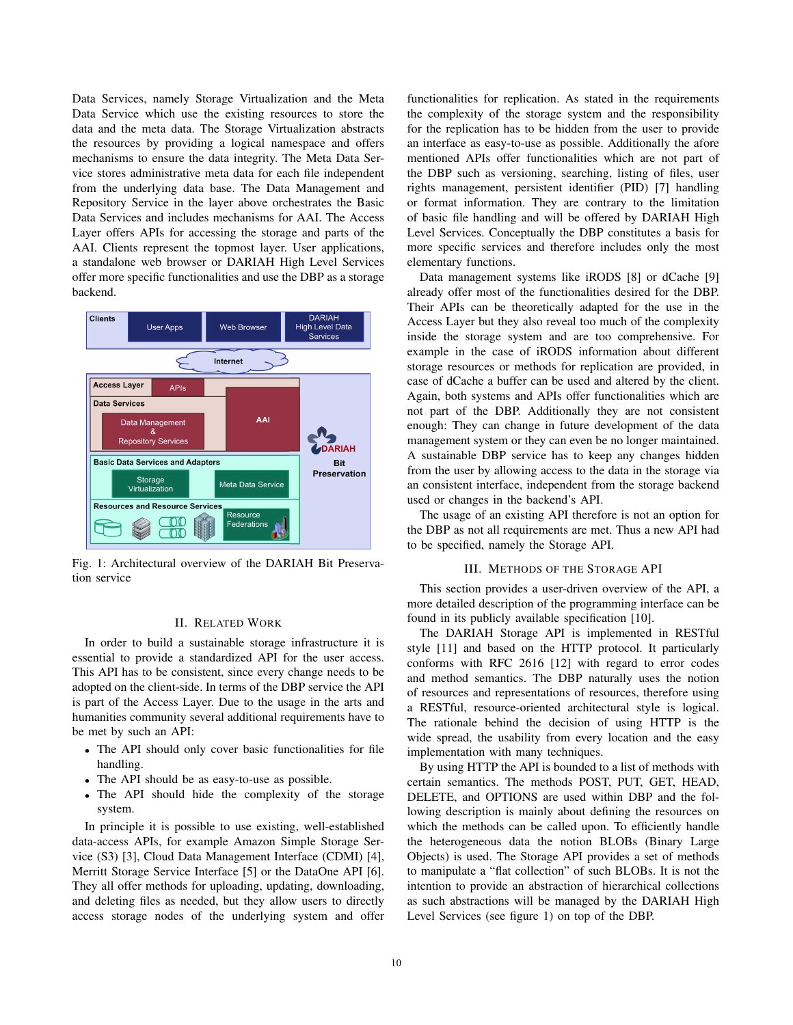Data Services, namely Storage Virtualization and the Meta Data Service which use the existing resources to store the data and the meta data. The Storage Virtualization abstracts the resources by providing a logical namespace and offers mechanisms to ensure the data integrity. The Meta Data Service stores administrative meta data for each file independent from the underlying data base. The Data Management and Repository Service in the layer above orchestrates the Basic Data Services and includes mechanisms for AAI. The Access Layer offers APIs for accessing the storage and parts of the AAI. Clients represent the topmost layer. User applications, a standalone web browser or DARIAH High Level Services offer more specific functionalities and use the DBP as a storage backend.



Fig. 1: Architectural overview of the DARIAH Bit Preservation service

## II. RELATED WORK

In order to build a sustainable storage infrastructure it is essential to provide a standardized API for the user access. This API has to be consistent, since every change needs to be adopted on the client-side. In terms of the DBP service the API is part of the Access Layer. Due to the usage in the arts and humanities community several additional requirements have to be met by such an API:

- The API should only cover basic functionalities for file handling.
- The API should be as easy-to-use as possible.
- The API should hide the complexity of the storage system.

In principle it is possible to use existing, well-established data-access APIs, for example Amazon Simple Storage Service (S3) [3], Cloud Data Management Interface (CDMI) [4], Merritt Storage Service Interface [5] or the DataOne API [6]. They all offer methods for uploading, updating, downloading, and deleting files as needed, but they allow users to directly access storage nodes of the underlying system and offer functionalities for replication. As stated in the requirements the complexity of the storage system and the responsibility for the replication has to be hidden from the user to provide an interface as easy-to-use as possible. Additionally the afore mentioned APIs offer functionalities which are not part of the DBP such as versioning, searching, listing of files, user rights management, persistent identifier (PID) [7] handling or format information. They are contrary to the limitation of basic file handling and will be offered by DARIAH High Level Services. Conceptually the DBP constitutes a basis for more specific services and therefore includes only the most elementary functions.

Data management systems like iRODS [8] or dCache [9] already offer most of the functionalities desired for the DBP. Their APIs can be theoretically adapted for the use in the Access Layer but they also reveal too much of the complexity inside the storage system and are too comprehensive. For example in the case of iRODS information about different storage resources or methods for replication are provided, in case of dCache a buffer can be used and altered by the client. Again, both systems and APIs offer functionalities which are not part of the DBP. Additionally they are not consistent enough: They can change in future development of the data management system or they can even be no longer maintained. A sustainable DBP service has to keep any changes hidden from the user by allowing access to the data in the storage via an consistent interface, independent from the storage backend used or changes in the backend's API.

The usage of an existing API therefore is not an option for the DBP as not all requirements are met. Thus a new API had to be specified, namely the Storage API.

## III. METHODS OF THE STORAGE API

This section provides a user-driven overview of the API, a more detailed description of the programming interface can be found in its publicly available specification [10].

The DARIAH Storage API is implemented in RESTful style [11] and based on the HTTP protocol. It particularly conforms with RFC 2616 [12] with regard to error codes and method semantics. The DBP naturally uses the notion of resources and representations of resources, therefore using a RESTful, resource-oriented architectural style is logical. The rationale behind the decision of using HTTP is the wide spread, the usability from every location and the easy implementation with many techniques.

By using HTTP the API is bounded to a list of methods with certain semantics. The methods POST, PUT, GET, HEAD, DELETE, and OPTIONS are used within DBP and the following description is mainly about defining the resources on which the methods can be called upon. To efficiently handle the heterogeneous data the notion BLOBs (Binary Large Objects) is used. The Storage API provides a set of methods to manipulate a "flat collection" of such BLOBs. It is not the intention to provide an abstraction of hierarchical collections as such abstractions will be managed by the DARIAH High Level Services (see figure 1) on top of the DBP.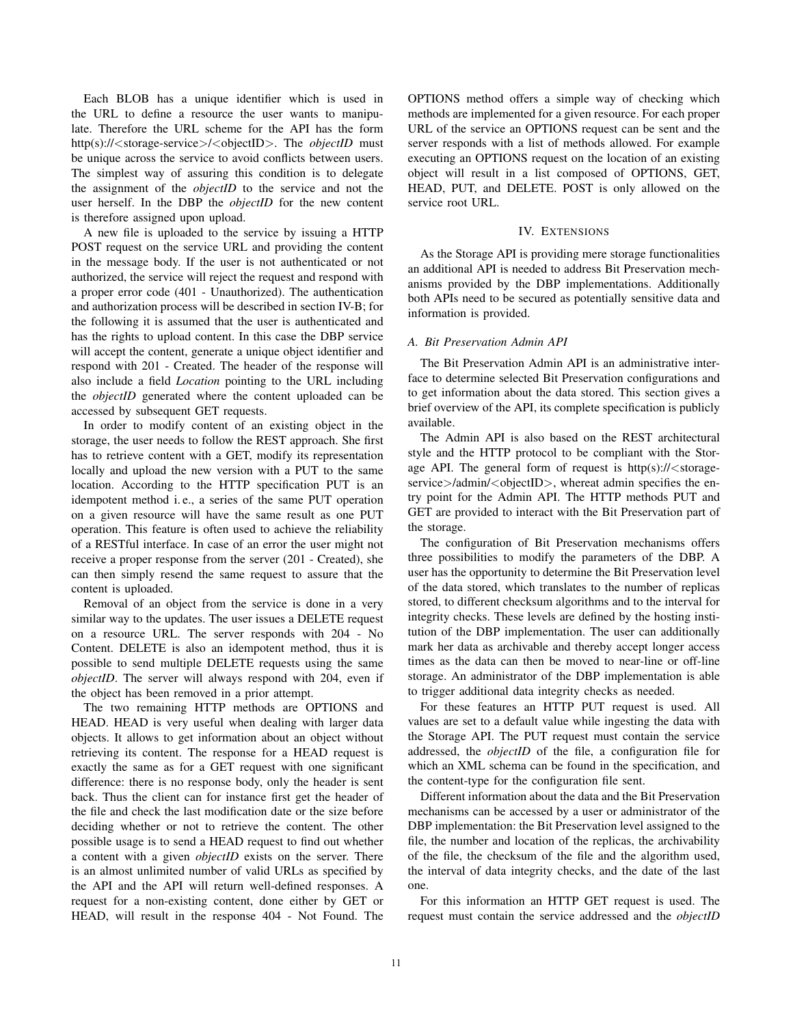Each BLOB has a unique identifier which is used in the URL to define a resource the user wants to manipulate. Therefore the URL scheme for the API has the form http(s)://<storage-service>/<objectID>. The *objectID* must be unique across the service to avoid conflicts between users. The simplest way of assuring this condition is to delegate the assignment of the *objectID* to the service and not the user herself. In the DBP the *objectID* for the new content is therefore assigned upon upload.

A new file is uploaded to the service by issuing a HTTP POST request on the service URL and providing the content in the message body. If the user is not authenticated or not authorized, the service will reject the request and respond with a proper error code (401 - Unauthorized). The authentication and authorization process will be described in section IV-B; for the following it is assumed that the user is authenticated and has the rights to upload content. In this case the DBP service will accept the content, generate a unique object identifier and respond with 201 - Created. The header of the response will also include a field *Location* pointing to the URL including the *objectID* generated where the content uploaded can be accessed by subsequent GET requests.

In order to modify content of an existing object in the storage, the user needs to follow the REST approach. She first has to retrieve content with a GET, modify its representation locally and upload the new version with a PUT to the same location. According to the HTTP specification PUT is an idempotent method i. e., a series of the same PUT operation on a given resource will have the same result as one PUT operation. This feature is often used to achieve the reliability of a RESTful interface. In case of an error the user might not receive a proper response from the server (201 - Created), she can then simply resend the same request to assure that the content is uploaded.

Removal of an object from the service is done in a very similar way to the updates. The user issues a DELETE request on a resource URL. The server responds with 204 - No Content. DELETE is also an idempotent method, thus it is possible to send multiple DELETE requests using the same *objectID*. The server will always respond with 204, even if the object has been removed in a prior attempt.

The two remaining HTTP methods are OPTIONS and HEAD. HEAD is very useful when dealing with larger data objects. It allows to get information about an object without retrieving its content. The response for a HEAD request is exactly the same as for a GET request with one significant difference: there is no response body, only the header is sent back. Thus the client can for instance first get the header of the file and check the last modification date or the size before deciding whether or not to retrieve the content. The other possible usage is to send a HEAD request to find out whether a content with a given *objectID* exists on the server. There is an almost unlimited number of valid URLs as specified by the API and the API will return well-defined responses. A request for a non-existing content, done either by GET or HEAD, will result in the response 404 - Not Found. The

OPTIONS method offers a simple way of checking which methods are implemented for a given resource. For each proper URL of the service an OPTIONS request can be sent and the server responds with a list of methods allowed. For example executing an OPTIONS request on the location of an existing object will result in a list composed of OPTIONS, GET, HEAD, PUT, and DELETE. POST is only allowed on the service root URL.

#### IV. EXTENSIONS

As the Storage API is providing mere storage functionalities an additional API is needed to address Bit Preservation mechanisms provided by the DBP implementations. Additionally both APIs need to be secured as potentially sensitive data and information is provided.

### *A. Bit Preservation Admin API*

The Bit Preservation Admin API is an administrative interface to determine selected Bit Preservation configurations and to get information about the data stored. This section gives a brief overview of the API, its complete specification is publicly available.

The Admin API is also based on the REST architectural style and the HTTP protocol to be compliant with the Storage API. The general form of request is  $\frac{htp(s)}{l}$  < storageservice>/admin/<objectID>, whereat admin specifies the entry point for the Admin API. The HTTP methods PUT and GET are provided to interact with the Bit Preservation part of the storage.

The configuration of Bit Preservation mechanisms offers three possibilities to modify the parameters of the DBP. A user has the opportunity to determine the Bit Preservation level of the data stored, which translates to the number of replicas stored, to different checksum algorithms and to the interval for integrity checks. These levels are defined by the hosting institution of the DBP implementation. The user can additionally mark her data as archivable and thereby accept longer access times as the data can then be moved to near-line or off-line storage. An administrator of the DBP implementation is able to trigger additional data integrity checks as needed.

For these features an HTTP PUT request is used. All values are set to a default value while ingesting the data with the Storage API. The PUT request must contain the service addressed, the *objectID* of the file, a configuration file for which an XML schema can be found in the specification, and the content-type for the configuration file sent.

Different information about the data and the Bit Preservation mechanisms can be accessed by a user or administrator of the DBP implementation: the Bit Preservation level assigned to the file, the number and location of the replicas, the archivability of the file, the checksum of the file and the algorithm used, the interval of data integrity checks, and the date of the last one.

For this information an HTTP GET request is used. The request must contain the service addressed and the *objectID*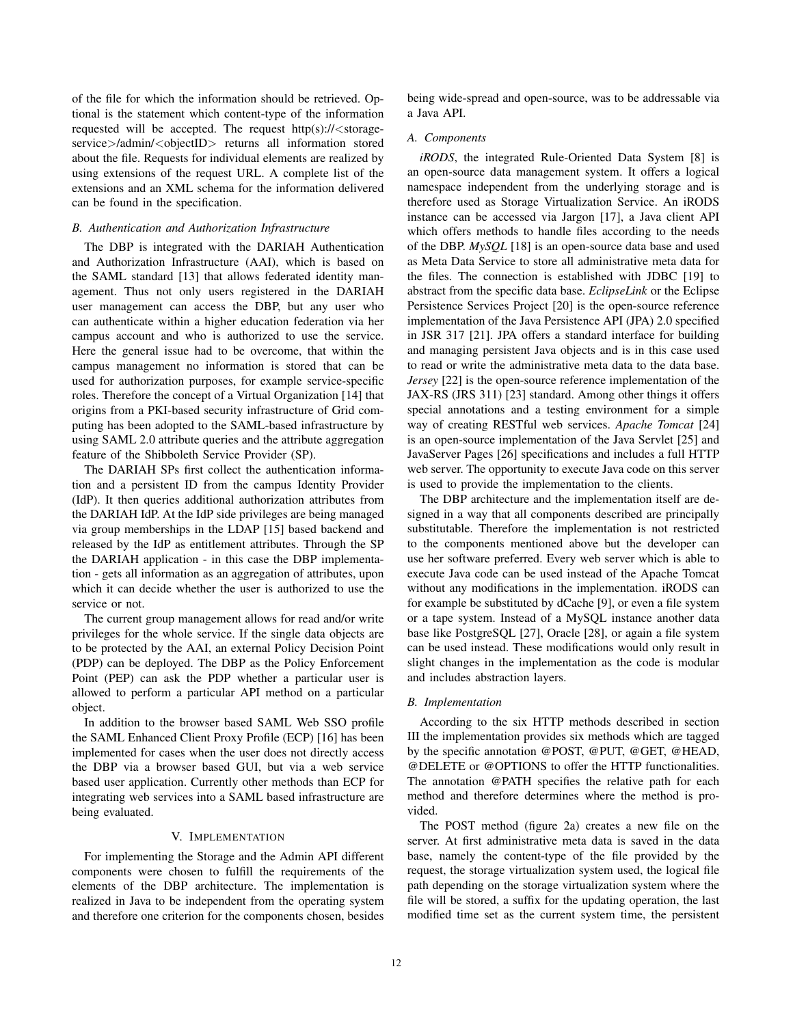of the file for which the information should be retrieved. Optional is the statement which content-type of the information requested will be accepted. The request http(s)://<storageservice>/admin/<objectID> returns all information stored about the file. Requests for individual elements are realized by using extensions of the request URL. A complete list of the extensions and an XML schema for the information delivered can be found in the specification.

## *B. Authentication and Authorization Infrastructure*

The DBP is integrated with the DARIAH Authentication and Authorization Infrastructure (AAI), which is based on the SAML standard [13] that allows federated identity management. Thus not only users registered in the DARIAH user management can access the DBP, but any user who can authenticate within a higher education federation via her campus account and who is authorized to use the service. Here the general issue had to be overcome, that within the campus management no information is stored that can be used for authorization purposes, for example service-specific roles. Therefore the concept of a Virtual Organization [14] that origins from a PKI-based security infrastructure of Grid computing has been adopted to the SAML-based infrastructure by using SAML 2.0 attribute queries and the attribute aggregation feature of the Shibboleth Service Provider (SP).

The DARIAH SPs first collect the authentication information and a persistent ID from the campus Identity Provider (IdP). It then queries additional authorization attributes from the DARIAH IdP. At the IdP side privileges are being managed via group memberships in the LDAP [15] based backend and released by the IdP as entitlement attributes. Through the SP the DARIAH application - in this case the DBP implementation - gets all information as an aggregation of attributes, upon which it can decide whether the user is authorized to use the service or not.

The current group management allows for read and/or write privileges for the whole service. If the single data objects are to be protected by the AAI, an external Policy Decision Point (PDP) can be deployed. The DBP as the Policy Enforcement Point (PEP) can ask the PDP whether a particular user is allowed to perform a particular API method on a particular object.

In addition to the browser based SAML Web SSO profile the SAML Enhanced Client Proxy Profile (ECP) [16] has been implemented for cases when the user does not directly access the DBP via a browser based GUI, but via a web service based user application. Currently other methods than ECP for integrating web services into a SAML based infrastructure are being evaluated.

#### V. IMPLEMENTATION

For implementing the Storage and the Admin API different components were chosen to fulfill the requirements of the elements of the DBP architecture. The implementation is realized in Java to be independent from the operating system and therefore one criterion for the components chosen, besides being wide-spread and open-source, was to be addressable via a Java API.

#### *A. Components*

*iRODS*, the integrated Rule-Oriented Data System [8] is an open-source data management system. It offers a logical namespace independent from the underlying storage and is therefore used as Storage Virtualization Service. An iRODS instance can be accessed via Jargon [17], a Java client API which offers methods to handle files according to the needs of the DBP. *MySQL* [18] is an open-source data base and used as Meta Data Service to store all administrative meta data for the files. The connection is established with JDBC [19] to abstract from the specific data base. *EclipseLink* or the Eclipse Persistence Services Project [20] is the open-source reference implementation of the Java Persistence API (JPA) 2.0 specified in JSR 317 [21]. JPA offers a standard interface for building and managing persistent Java objects and is in this case used to read or write the administrative meta data to the data base. *Jersey* [22] is the open-source reference implementation of the JAX-RS (JRS 311) [23] standard. Among other things it offers special annotations and a testing environment for a simple way of creating RESTful web services. *Apache Tomcat* [24] is an open-source implementation of the Java Servlet [25] and JavaServer Pages [26] specifications and includes a full HTTP web server. The opportunity to execute Java code on this server is used to provide the implementation to the clients.

The DBP architecture and the implementation itself are designed in a way that all components described are principally substitutable. Therefore the implementation is not restricted to the components mentioned above but the developer can use her software preferred. Every web server which is able to execute Java code can be used instead of the Apache Tomcat without any modifications in the implementation. iRODS can for example be substituted by dCache [9], or even a file system or a tape system. Instead of a MySQL instance another data base like PostgreSQL [27], Oracle [28], or again a file system can be used instead. These modifications would only result in slight changes in the implementation as the code is modular and includes abstraction layers.

#### *B. Implementation*

According to the six HTTP methods described in section III the implementation provides six methods which are tagged by the specific annotation @POST, @PUT, @GET, @HEAD, @DELETE or @OPTIONS to offer the HTTP functionalities. The annotation @PATH specifies the relative path for each method and therefore determines where the method is provided.

The POST method (figure 2a) creates a new file on the server. At first administrative meta data is saved in the data base, namely the content-type of the file provided by the request, the storage virtualization system used, the logical file path depending on the storage virtualization system where the file will be stored, a suffix for the updating operation, the last modified time set as the current system time, the persistent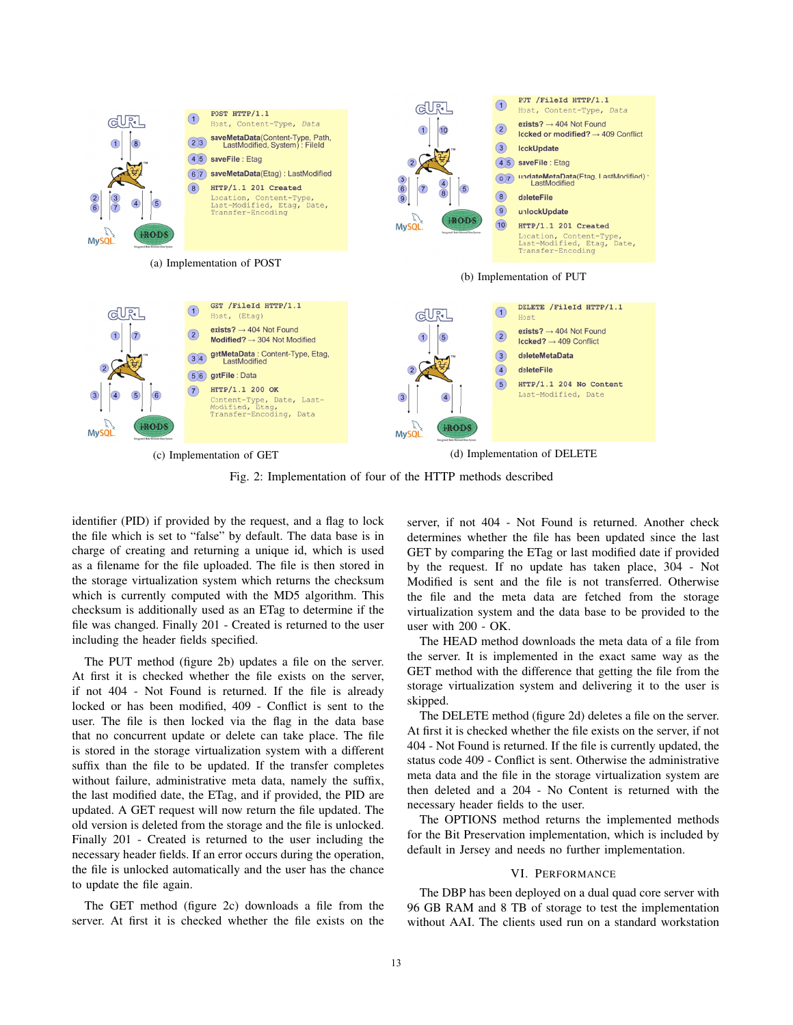

Fig. 2: Implementation of four of the HTTP methods described

identifier (PID) if provided by the request, and a flag to lock the file which is set to "false" by default. The data base is in charge of creating and returning a unique id, which is used as a filename for the file uploaded. The file is then stored in the storage virtualization system which returns the checksum which is currently computed with the MD5 algorithm. This checksum is additionally used as an ETag to determine if the file was changed. Finally 201 - Created is returned to the user including the header fields specified.

The PUT method (figure 2b) updates a file on the server. At first it is checked whether the file exists on the server, if not 404 - Not Found is returned. If the file is already locked or has been modified, 409 - Conflict is sent to the user. The file is then locked via the flag in the data base that no concurrent update or delete can take place. The file is stored in the storage virtualization system with a different suffix than the file to be updated. If the transfer completes without failure, administrative meta data, namely the suffix, the last modified date, the ETag, and if provided, the PID are updated. A GET request will now return the file updated. The old version is deleted from the storage and the file is unlocked. Finally 201 - Created is returned to the user including the necessary header fields. If an error occurs during the operation, the file is unlocked automatically and the user has the chance to update the file again.

The GET method (figure 2c) downloads a file from the server. At first it is checked whether the file exists on the server, if not 404 - Not Found is returned. Another check determines whether the file has been updated since the last GET by comparing the ETag or last modified date if provided by the request. If no update has taken place, 304 - Not Modified is sent and the file is not transferred. Otherwise the file and the meta data are fetched from the storage virtualization system and the data base to be provided to the user with 200 - OK.

The HEAD method downloads the meta data of a file from the server. It is implemented in the exact same way as the GET method with the difference that getting the file from the storage virtualization system and delivering it to the user is skipped.

The DELETE method (figure 2d) deletes a file on the server. At first it is checked whether the file exists on the server, if not 404 - Not Found is returned. If the file is currently updated, the status code 409 - Conflict is sent. Otherwise the administrative meta data and the file in the storage virtualization system are then deleted and a 204 - No Content is returned with the necessary header fields to the user.

The OPTIONS method returns the implemented methods for the Bit Preservation implementation, which is included by default in Jersey and needs no further implementation.

#### VI. PERFORMANCE

The DBP has been deployed on a dual quad core server with 96 GB RAM and 8 TB of storage to test the implementation without AAI. The clients used run on a standard workstation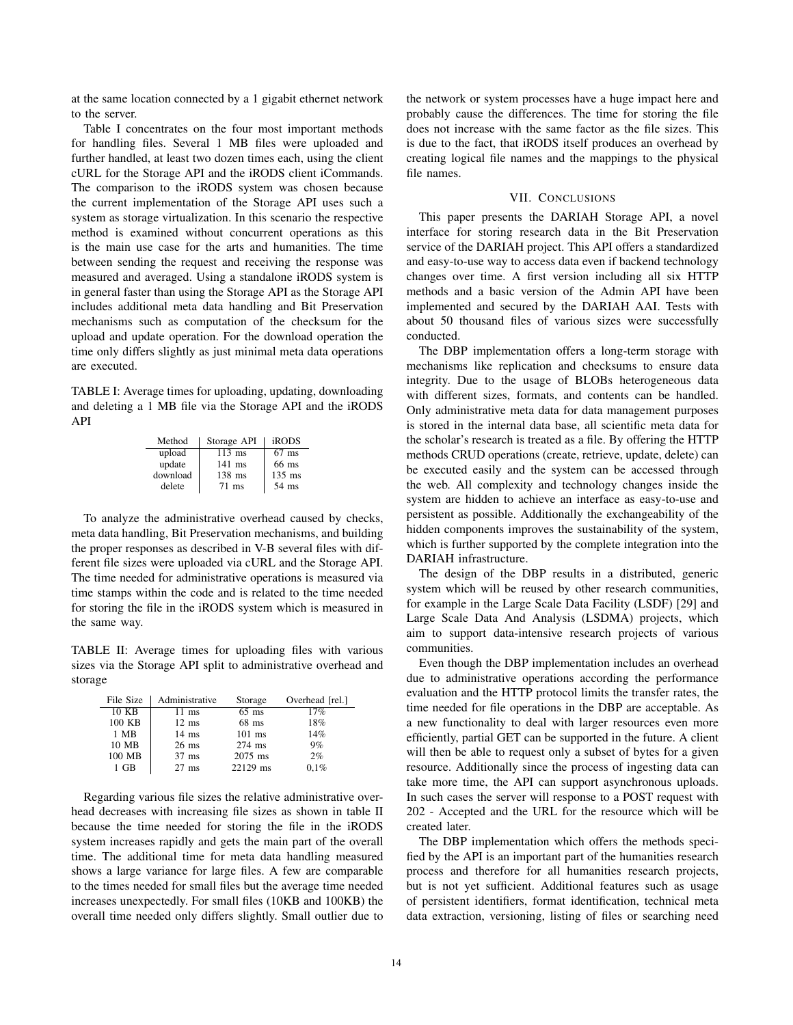at the same location connected by a 1 gigabit ethernet network to the server.

Table I concentrates on the four most important methods for handling files. Several 1 MB files were uploaded and further handled, at least two dozen times each, using the client cURL for the Storage API and the iRODS client iCommands. The comparison to the iRODS system was chosen because the current implementation of the Storage API uses such a system as storage virtualization. In this scenario the respective method is examined without concurrent operations as this is the main use case for the arts and humanities. The time between sending the request and receiving the response was measured and averaged. Using a standalone iRODS system is in general faster than using the Storage API as the Storage API includes additional meta data handling and Bit Preservation mechanisms such as computation of the checksum for the upload and update operation. For the download operation the time only differs slightly as just minimal meta data operations are executed.

TABLE I: Average times for uploading, updating, downloading and deleting a 1 MB file via the Storage API and the iRODS API

| Method   | Storage API | iRODS    |
|----------|-------------|----------|
| upload   | $113$ ms    | $67$ ms  |
| update   | $141$ ms    | 66 ms    |
| download | $138$ ms    | $135$ ms |
| delete   | $71$ ms     | 54 ms    |

To analyze the administrative overhead caused by checks, meta data handling, Bit Preservation mechanisms, and building the proper responses as described in V-B several files with different file sizes were uploaded via cURL and the Storage API. The time needed for administrative operations is measured via time stamps within the code and is related to the time needed for storing the file in the iRODS system which is measured in the same way.

TABLE II: Average times for uploading files with various sizes via the Storage API split to administrative overhead and storage

| File Size | Administrative  | Storage  | Overhead [rel.] |
|-----------|-----------------|----------|-----------------|
| 10 KB     | $11 \text{ ms}$ | $65$ ms  | 17%             |
| 100 KB    | $12 \text{ ms}$ | $68$ ms  | 18%             |
| 1 MB      | $14 \text{ ms}$ | $101$ ms | 14%             |
| 10 MB     | $26$ ms         | $274$ ms | 9%              |
| 100 MB    | $37$ ms         | 2075 ms  | 2%              |
| 1 GB      | $27$ ms         | 22129 ms | 0.1%            |

Regarding various file sizes the relative administrative overhead decreases with increasing file sizes as shown in table II because the time needed for storing the file in the iRODS system increases rapidly and gets the main part of the overall time. The additional time for meta data handling measured shows a large variance for large files. A few are comparable to the times needed for small files but the average time needed increases unexpectedly. For small files (10KB and 100KB) the overall time needed only differs slightly. Small outlier due to

the network or system processes have a huge impact here and probably cause the differences. The time for storing the file does not increase with the same factor as the file sizes. This is due to the fact, that iRODS itself produces an overhead by creating logical file names and the mappings to the physical file names.

## VII. CONCLUSIONS

This paper presents the DARIAH Storage API, a novel interface for storing research data in the Bit Preservation service of the DARIAH project. This API offers a standardized and easy-to-use way to access data even if backend technology changes over time. A first version including all six HTTP methods and a basic version of the Admin API have been implemented and secured by the DARIAH AAI. Tests with about 50 thousand files of various sizes were successfully conducted.

The DBP implementation offers a long-term storage with mechanisms like replication and checksums to ensure data integrity. Due to the usage of BLOBs heterogeneous data with different sizes, formats, and contents can be handled. Only administrative meta data for data management purposes is stored in the internal data base, all scientific meta data for the scholar's research is treated as a file. By offering the HTTP methods CRUD operations (create, retrieve, update, delete) can be executed easily and the system can be accessed through the web. All complexity and technology changes inside the system are hidden to achieve an interface as easy-to-use and persistent as possible. Additionally the exchangeability of the hidden components improves the sustainability of the system, which is further supported by the complete integration into the DARIAH infrastructure.

The design of the DBP results in a distributed, generic system which will be reused by other research communities, for example in the Large Scale Data Facility (LSDF) [29] and Large Scale Data And Analysis (LSDMA) projects, which aim to support data-intensive research projects of various communities.

Even though the DBP implementation includes an overhead due to administrative operations according the performance evaluation and the HTTP protocol limits the transfer rates, the time needed for file operations in the DBP are acceptable. As a new functionality to deal with larger resources even more efficiently, partial GET can be supported in the future. A client will then be able to request only a subset of bytes for a given resource. Additionally since the process of ingesting data can take more time, the API can support asynchronous uploads. In such cases the server will response to a POST request with 202 - Accepted and the URL for the resource which will be created later.

The DBP implementation which offers the methods specified by the API is an important part of the humanities research process and therefore for all humanities research projects, but is not yet sufficient. Additional features such as usage of persistent identifiers, format identification, technical meta data extraction, versioning, listing of files or searching need